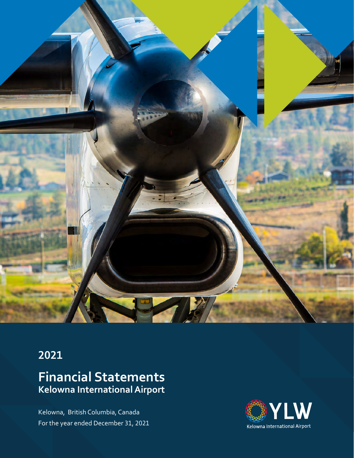

# **2021**

# **Financial Statements Kelowna International Airport**

Kelowna, British Columbia, Canada For the year ended December 31, 2021

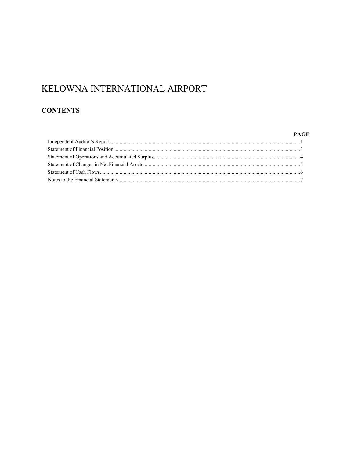# **CONTENTS**

### **PAGE**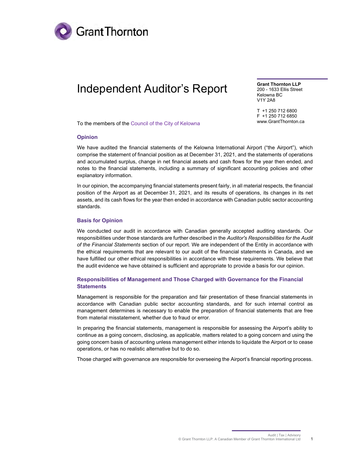

# Independent Auditor's Report

Grant Thornton LLP 200 - 1633 Ellis Street Kelowna BC V1Y 2A8

T +1 250 712 6800 F +1 250 712 6850 www.GrantThornton.ca

To the members of the Council of the City of Kelowna

#### Opinion

We have audited the financial statements of the Kelowna International Airport ("the Airport"), which comprise the statement of financial position as at December 31, 2021, and the statements of operations and accumulated surplus, change in net financial assets and cash flows for the year then ended, and notes to the financial statements, including a summary of significant accounting policies and other explanatory information.

In our opinion, the accompanying financial statements present fairly, in all material respects, the financial position of the Airport as at December 31, 2021, and its results of operations, its changes in its net assets, and its cash flows for the year then ended in accordance with Canadian public sector accounting standards.

#### Basis for Opinion

We conducted our audit in accordance with Canadian generally accepted auditing standards. Our responsibilities under those standards are further described in the Auditor's Responsibilities for the Audit of the Financial Statements section of our report. We are independent of the Entity in accordance with the ethical requirements that are relevant to our audit of the financial statements in Canada, and we have fulfilled our other ethical responsibilities in accordance with these requirements. We believe that the audit evidence we have obtained is sufficient and appropriate to provide a basis for our opinion.

#### Responsibilities of Management and Those Charged with Governance for the Financial **Statements**

Management is responsible for the preparation and fair presentation of these financial statements in accordance with Canadian public sector accounting standards, and for such internal control as management determines is necessary to enable the preparation of financial statements that are free from material misstatement, whether due to fraud or error.

In preparing the financial statements, management is responsible for assessing the Airport's ability to continue as a going concern, disclosing, as applicable, matters related to a going concern and using the going concern basis of accounting unless management either intends to liquidate the Airport or to cease operations, or has no realistic alternative but to do so.

Those charged with governance are responsible for overseeing the Airport's financial reporting process.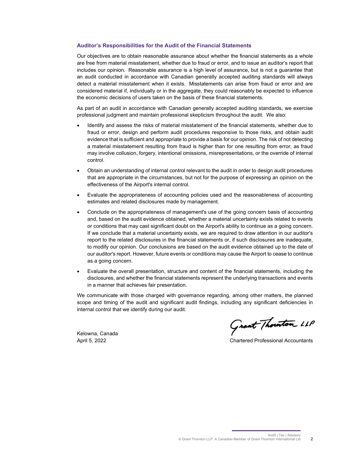#### Auditor's Responsibilities for the Audit of the Financial Statements

Our objectives are to obtain reasonable assurance about whether the financial statements as a whole are free from material misstatement, whether due to fraud or error, and to issue an auditor's report that includes our opinion. Reasonable assurance is a high level of assurance, but is not a guarantee that an audit conducted in accordance with Canadian generally accepted auditing standards will always detect a material misstatement when it exists. Misstatements can arise from fraud or error and are considered material if, individually or in the aggregate, they could reasonably be expected to influence the economic decisions of users taken on the basis of these financial statements.

As part of an audit in accordance with Canadian generally accepted auditing standards, we exercise professional judgment and maintain professional skepticism throughout the audit. We also:

- Identify and assess the risks of material misstatement of the financial statements, whether due to fraud or error, design and perform audit procedures responsive to those risks, and obtain audit evidence that is sufficient and appropriate to provide a basis for our opinion. The risk of not detecting a material misstatement resulting from fraud is higher than for one resulting from error, as fraud may involve collusion, forgery, intentional omissions, misrepresentations, or the override of internal control.
- Obtain an understanding of internal control relevant to the audit in order to design audit procedures that are appropriate in the circumstances, but not for the purpose of expressing an opinion on the effectiveness of the Airport's internal control.
- Evaluate the appropriateness of accounting policies used and the reasonableness of accounting estimates and related disclosures made by management.
- Conclude on the appropriateness of management's use of the going concern basis of accounting and, based on the audit evidence obtained, whether a material uncertainty exists related to events or conditions that may cast significant doubt on the Airport's ability to continue as a going concern. If we conclude that a material uncertainty exists, we are required to draw attention in our auditor's report to the related disclosures in the financial statements or, if such disclosures are inadequate, to modify our opinion. Our conclusions are based on the audit evidence obtained up to the date of our auditor's report. However, future events or conditions may cause the Airport to cease to continue as a going concern.
- Evaluate the overall presentation, structure and content of the financial statements, including the disclosures, and whether the financial statements represent the underlying transactions and events in a manner that achieves fair presentation.

We communicate with those charged with governance regarding, among other matters, the planned scope and timing of the audit and significant audit findings, including any significant deficiencies in internal control that we identify during our audit.

Kelowna, Canada

Grant Thouston LLP

April 5, 2022 Chartered Professional Accountants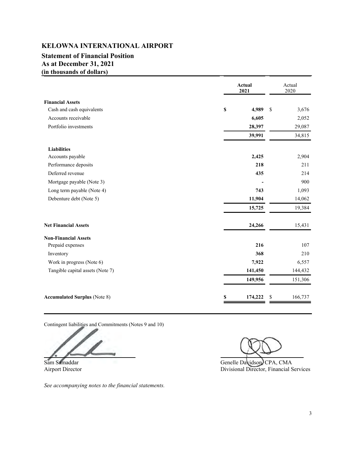### **Statement of Financial Position As at December 31, 2021 (in thousands of dollars)**

|                                     | Actual<br>2021 | Actual<br>2020 |  |
|-------------------------------------|----------------|----------------|--|
| <b>Financial Assets</b>             |                |                |  |
| Cash and cash equivalents           | \$<br>4,989    | \$<br>3,676    |  |
| Accounts receivable                 | 6,605          | 2,052          |  |
| Portfolio investments               | 28,397         | 29,087         |  |
|                                     | 39,991         | 34,815         |  |
| <b>Liabilities</b>                  |                |                |  |
| Accounts payable                    | 2,425          | 2,904          |  |
| Performance deposits                | 218            | 211            |  |
| Deferred revenue                    | 435            | 214            |  |
| Mortgage payable (Note 3)           |                | 900            |  |
| Long term payable (Note 4)          | 743            | 1,093          |  |
| Debenture debt (Note 5)             | 11,904         | 14,062         |  |
|                                     | 15,725         | 19,384         |  |
| <b>Net Financial Assets</b>         | 24,266         | 15,431         |  |
| <b>Non-Financial Assets</b>         |                |                |  |
| Prepaid expenses                    | 216            | 107            |  |
| Inventory                           | 368            | 210            |  |
| Work in progress (Note 6)           | 7,922          | 6,557          |  |
| Tangible capital assets (Note 7)    | 141,450        | 144,432        |  |
|                                     | 149,956        | 151,306        |  |
| <b>Accumulated Surplus (Note 8)</b> | 174,222<br>S   | \$<br>166,737  |  |

Contingent liabilities and Commitments (Notes 9 and 10)

*See accompanying notes to the financial statements.*

Sam Samaddar Genelle Davidson, CPA, CMA Airport Director **Divisional Director**, Financial Services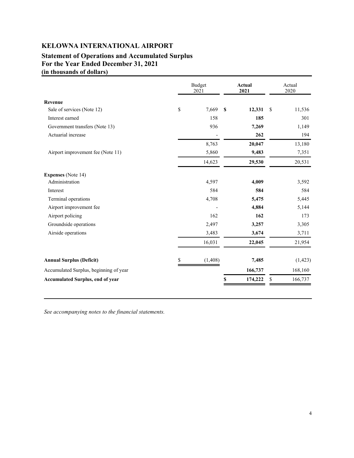# **Statement of Operations and Accumulated Surplus For the Year Ended December 31, 2021 (in thousands of dollars)**

|                                        | <b>Budget</b><br>2021 |    | <b>Actual</b><br>2021 |    | Actual<br>2020 |
|----------------------------------------|-----------------------|----|-----------------------|----|----------------|
| Revenue                                |                       |    |                       |    |                |
| Sale of services (Note 12)             | \$<br>7,669           | S  | 12,331                | -S | 11,536         |
| Interest earned                        | 158                   |    | 185                   |    | 301            |
| Government transfers (Note 13)         | 936                   |    | 7,269                 |    | 1,149          |
| Actuarial increase                     |                       |    | 262                   |    | 194            |
|                                        | 8,763                 |    | 20,047                |    | 13,180         |
| Airport improvement fee (Note 11)      | 5,860                 |    | 9,483                 |    | 7,351          |
|                                        | 14,623                |    | 29,530                |    | 20,531         |
| <b>Expenses</b> (Note 14)              |                       |    |                       |    |                |
| Administration                         | 4,597                 |    | 4,009                 |    | 3,592          |
| Interest                               | 584                   |    | 584                   |    | 584            |
| Terminal operations                    | 4,708                 |    | 5,475                 |    | 5,445          |
| Airport improvement fee                |                       |    | 4,884                 |    | 5,144          |
| Airport policing                       | 162                   |    | 162                   |    | 173            |
| Groundside operations                  | 2,497                 |    | 3,257                 |    | 3,305          |
| Airside operations                     | 3,483                 |    | 3,674                 |    | 3,711          |
|                                        | 16,031                |    | 22,045                |    | 21,954         |
| <b>Annual Surplus (Deficit)</b>        | (1, 408)              |    | 7,485                 |    | (1, 423)       |
| Accumulated Surplus, beginning of year |                       |    | 166,737               |    | 168,160        |
| Accumulated Surplus, end of year       |                       | \$ | 174,222               | \$ | 166,737        |

*See accompanying notes to the financial statements.*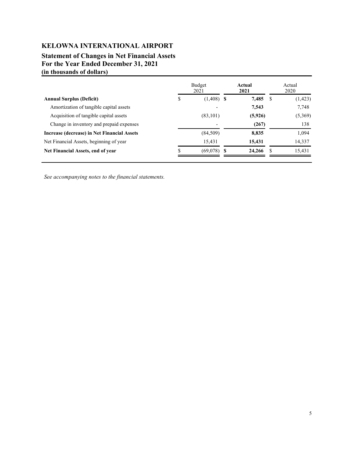## **Statement of Changes in Net Financial Assets For the Year Ended December 31, 2021 (in thousands of dollars)**

|                                             |   | Budget<br>2021           | Actual<br>2021 | Actual<br>2020 |          |  |
|---------------------------------------------|---|--------------------------|----------------|----------------|----------|--|
| <b>Annual Surplus (Deficit)</b>             | S | $(1,408)$ \$             | 7,485          | S              | (1, 423) |  |
| Amortization of tangible capital assets     |   | $\overline{\phantom{a}}$ | 7,543          |                | 7,748    |  |
| Acquisition of tangible capital assets      |   | (83, 101)                | (5,926)        |                | (5,369)  |  |
| Change in inventory and prepaid expenses    |   |                          | (267)          |                | 138      |  |
| Increase (decrease) in Net Financial Assets |   | (84, 509)                | 8,835          |                | 1,094    |  |
| Net Financial Assets, beginning of year     |   | 15,431                   | 15,431         |                | 14,337   |  |
| Net Financial Assets, end of year           |   | $(69,078)$ \$            | 24,266         |                | 15,431   |  |

*See accompanying notes to the financial statements.*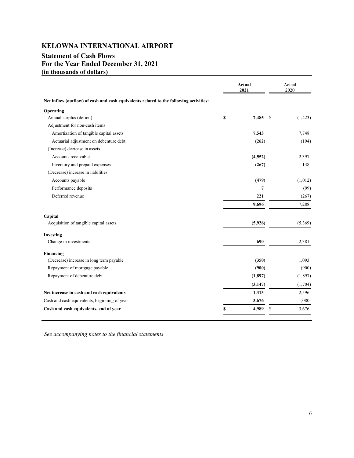## **Statement of Cash Flows For the Year Ended December 31, 2021 (in thousands of dollars)**

|                                                                                        | Actual<br>2021 |    | Actual<br>2020 |
|----------------------------------------------------------------------------------------|----------------|----|----------------|
| Net inflow (outflow) of cash and cash equivalents related to the following activities: |                |    |                |
| Operating                                                                              |                |    |                |
| Annual surplus (deficit)                                                               | \$<br>7,485    | -S | (1, 423)       |
| Adjustment for non-cash items                                                          |                |    |                |
| Amortization of tangible capital assets                                                | 7,543          |    | 7,748          |
| Actuarial adjustment on debenture debt                                                 | (262)          |    | (194)          |
| (Increase) decrease in assets                                                          |                |    |                |
| Accounts receivable                                                                    | (4, 552)       |    | 2,397          |
| Inventory and prepaid expenses                                                         | (267)          |    | 138            |
| (Decrease) increase in liabilities                                                     |                |    |                |
| Accounts payable                                                                       | (479)          |    | (1,012)        |
| Performance deposits                                                                   | $\overline{7}$ |    | (99)           |
| Deferred revenue                                                                       | 221            |    | (267)          |
|                                                                                        | 9,696          |    | 7,288          |
| Capital                                                                                |                |    |                |
| Acquisition of tangible capital assets                                                 | (5,926)        |    | (5,369)        |
| Investing                                                                              |                |    |                |
| Change in investments                                                                  | 690            |    | 2,381          |
| Financing                                                                              |                |    |                |
| (Decrease) increase in long term payable                                               | (350)          |    | 1,093          |
| Repayment of mortgage payable                                                          | (900)          |    | (900)          |
| Repayment of debenture debt                                                            | (1, 897)       |    | (1, 897)       |
|                                                                                        | (3, 147)       |    | (1,704)        |
| Net increase in cash and cash equivalents                                              | 1,313          |    | 2,596          |
| Cash and cash equivalents, beginning of year                                           | 3,676          |    | 1,080          |
| Cash and cash equivalents, end of year                                                 | \$<br>4,989    | \$ | 3,676          |

*See accompanying notes to the financial statements*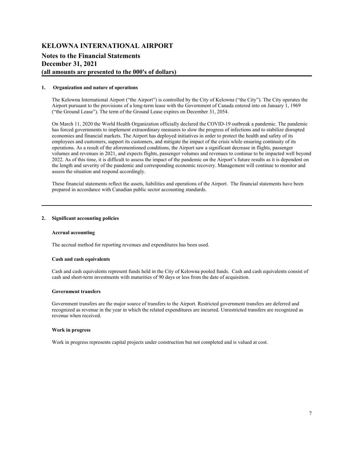### **Notes to the Financial Statements December 31, 2021 (all amounts are presented to the 000's of dollars)**

#### **1. Organization and nature of operations**

The Kelowna International Airport ("the Airport") is controlled by the City of Kelowna ("the City"). The City operates the Airport pursuant to the provisions of a long-term lease with the Government of Canada entered into on January 1, 1969 ("the Ground Lease"). The term of the Ground Lease expires on December 31, 2054.

On March 11, 2020 the World Health Organization officially declared the COVID-19 outbreak a pandemic. The pandemic has forced governments to implement extraordinary measures to slow the progress of infections and to stabilize disrupted economies and financial markets. The Airport has deployed initiatives in order to protect the health and safety of its employees and customers, support its customers, and mitigate the impact of the crisis while ensuring continuity of its operations. As a result of the aforementioned conditions, the Airport saw a significant decrease in flights, passenger volumes and revenues in 2021, and expects flights, passenger volumes and revenues to continue to be impacted well beyond 2022. As of this time, it is difficult to assess the impact of the pandemic on the Airport's future results as it is dependent on the length and severity of the pandemic and corresponding economic recovery. Management will continue to monitor and assess the situation and respond accordingly.

These financial statements reflect the assets, liabilities and operations of the Airport. The financial statements have been prepared in accordance with Canadian public sector accounting standards.

#### **2. Significant accounting policies**

#### **Accrual accounting**

The accrual method for reporting revenues and expenditures has been used.

#### **Cash and cash equivalents**

Cash and cash equivalents represent funds held in the City of Kelowna pooled funds. Cash and cash equivalents consist of cash and short-term investments with maturities of 90 days or less from the date of acquisition.

#### **Government transfers**

Government transfers are the major source of transfers to the Airport. Restricted government transfers are deferred and recognized as revenue in the year in which the related expenditures are incurred. Unrestricted transfers are recognized as revenue when received.

#### **Work in progress**

Work in progress represents capital projects under construction but not completed and is valued at cost.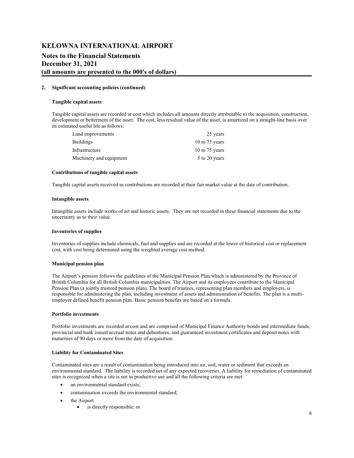## **KELOWNA INTERNATIONAL AIRPORT Notes to the Financial Statements December 31, 2021 (all amounts are presented to the 000's of dollars)**

#### **2. Significant accounting policies (continued)**

#### **Tangible capital assets**

Tangible capital assets are recorded at cost which includes all amounts directly attributable to the acquisition, construction, development or betterment of the asset. The cost, less residual value of the asset, is amortized on a straight-line basis over its estimated useful life as follows:

| 25 years         |
|------------------|
| 10 to $75$ years |
| 10 to $75$ years |
| 5 to 20 years    |
|                  |

#### **Contributions of tangible capital assets**

Tangible capital assets received as contributions are recorded at their fair market value at the date of contribution.

#### **Intangible assets**

Intangible assets include works of art and historic assets. They are not recorded in these financial statements due to the uncertainty as to their value.

#### **Inventories of supplies**

Inventories of supplies include chemicals, fuel and supplies and are recorded at the lower of historical cost or replacement cost, with cost being determined using the weighted average cost method.

#### **Municipal pension plan**

The Airport's pension follows the guidelines of the Municipal Pension Plan which is administered by the Province of British Columbia for all British Columbia municipalities. The Airport and its employees contribute to the Municipal Pension Plan (a jointly trusteed pension plan). The board of trustees, representing plan members and employers, is responsible for administering the plan, including investment of assets and administration of benefits. The plan is a multiemployer defined benefit pension plan. Basic pension benefits are based on a formula.

#### **Portfolio investments**

Portfolio investments are recorded at cost and are comprised of Municipal Finance Authority bonds and intermediate funds, provincial and bank issued accrual notes and debentures, and guaranteed investment certificates and deposit notes with maturities of 90 days or more from the date of acquisition.

#### **Liability for Contaminated Sites**

Contaminated sites are a result of contamination being introduced into air, soil, water or sediment that exceeds an environmental standard. The liability is recorded net of any expected recoveries. A liability for remediation of contaminated sites is recognized when a site is not in productive use and all the following criteria are met:

- an environmental standard exists;
- contamination exceeds the environmental standard;
- the Airport
	- is directly responsible; or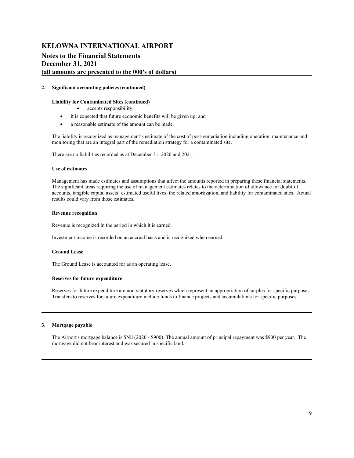### **Notes to the Financial Statements December 31, 2021 (all amounts are presented to the 000's of dollars)**

#### **2. Significant accounting policies (continued)**

#### **Liability for Contaminated Sites (continued)**

- accepts responsibility;
- it is expected that future economic benefits will be given up; and
- a reasonable estimate of the amount can be made.

The liability is recognized as management's estimate of the cost of post-remediation including operation, maintenance and monitoring that are an integral part of the remediation strategy for a contaminated site.

There are no liabilities recorded as at December 31, 2020 and 2021.

#### **Use of estimates**

Management has made estimates and assumptions that affect the amounts reported in preparing these financial statements. The significant areas requiring the use of management estimates relates to the determination of allowance for doubtful accounts, tangible capital assets' estimated useful lives, the related amortization, and liability for contaminated sites. Actual results could vary from those estimates.

#### **Revenue recognition**

Revenue is recognized in the period in which it is earned.

Investment income is recorded on an accrual basis and is recognized when earned.

#### **Ground Lease**

The Ground Lease is accounted for as an operating lease.

#### **Reserves for future expenditure**

Reserves for future expenditure are non-statutory reserves which represent an appropriation of surplus for specific purposes. Transfers to reserves for future expenditure include funds to finance projects and accumulations for specific purposes.

#### **3. Mortgage payable**

The Airport's mortgage balance is \$Nil (2020 - \$900). The annual amount of principal repayment was \$900 per year. The mortgage did not bear interest and was secured in specific land.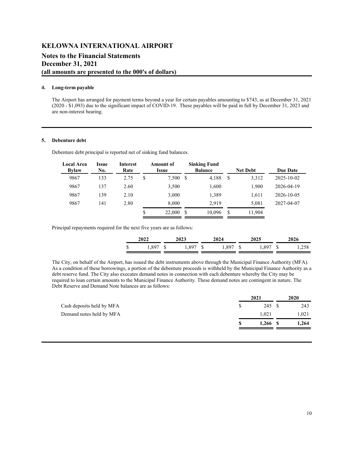### **Notes to the Financial Statements December 31, 2021 (all amounts are presented to the 000's of dollars)**

#### **4. Long-term payable**

The Airport has arranged for payment terms beyond a year for certain payables amounting to \$743, as at December 31, 2021 (2020 - \$1,093) due to the significant impact of COVID-19. These payables will be paid in full by December 31, 2023 and are non-interest bearing.

#### **5. Debenture debt**

Debenture debt principal is reported net of sinking fund balances.

| <b>Local Area</b><br><b>Bylaw</b> | Issue<br>No. | Interest<br>Rate |    | Amount of<br>Issue |   | <b>Sinking Fund</b><br><b>Balance</b> | <b>Net Debt</b> | <b>Due Date</b>  |  |
|-----------------------------------|--------------|------------------|----|--------------------|---|---------------------------------------|-----------------|------------------|--|
| 9867                              | 133          | 2.75             | S  | 7.500 \$           |   | 4,188                                 | \$<br>3,312     | $2025 - 10 - 02$ |  |
| 9867                              | 137          | 2.60             |    | 3,500              |   | 1,600                                 | 1,900           | 2026-04-19       |  |
| 9867                              | 139          | 2.10             |    | 3,000              |   | 1,389                                 | 1,611           | 2026-10-05       |  |
| 9867                              | 141          | 2.80             |    | 8,000              |   | 2.919                                 | 5.081           | 2027-04-07       |  |
|                                   |              |                  | \$ | 22,000             | S | 10.096                                | \$<br>11.904    |                  |  |

Principal repayments required for the next five years are as follows:

|    | 2022       | 2023     | 2024     | 2025     | 2026 |       |  |  |
|----|------------|----------|----------|----------|------|-------|--|--|
| -S | $1,897$ \$ | .,897 \$ | 1,897 \$ | l,897 \$ |      | 1,258 |  |  |

The City, on behalf of the Airport, has issued the debt instruments above through the Municipal Finance Authority (MFA). As a condition of these borrowings, a portion of the debenture proceeds is withheld by the Municipal Finance Authority as a debt reserve fund. The City also executes demand notes in connection with each debenture whereby the City may be required to loan certain amounts to the Municipal Finance Authority. These demand notes are contingent in nature. The Debt Reserve and Demand Note balances are as follows:

|                           |     | 2021       | 2020 |       |  |
|---------------------------|-----|------------|------|-------|--|
| Cash deposits held by MFA | \$. | 245 \$     |      | 243   |  |
| Demand notes held by MFA  |     | 1.021      |      | 1,021 |  |
|                           | S.  | $1,266$ \$ |      | 1,264 |  |
|                           |     |            |      |       |  |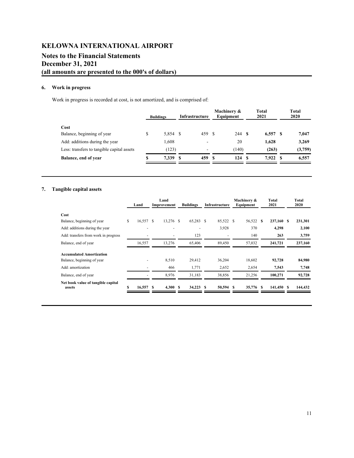# **KELOWNA INTERNATIONAL AIRPORT Notes to the Financial Statements December 31, 2021 (all amounts are presented to the 000's of dollars)**

### **6. Work in progress**

Work in progress is recorded at cost, is not amortized, and is comprised of:

|                                            |    | <b>Buildings</b> | Infrastructure |        | Machinery &<br>Equipment | Total<br>2021 | Total<br>2020 |
|--------------------------------------------|----|------------------|----------------|--------|--------------------------|---------------|---------------|
| Cost                                       |    |                  |                |        |                          |               |               |
| Balance, beginning of year                 | \$ | 5,854 \$         |                | 459 \$ | 244 \$                   | $6,557$ \$    | 7,047         |
| Add: additions during the year             |    | 1,608            |                | ۰      | 20                       | 1,628         | 3,269         |
| Less: transfers to tangible capital assets |    | (123)            |                | ۰      | (140)                    | (263)         | (3,759)       |
| Balance, end of year                       | S  | 7.339            | - 8            | 459 S  | 124S                     | 7.922 S       | 6,557         |

### **7. Tangible capital assets**

|                                              |    | Land      |    |             |                  |                |           | Machinery & | Total      | <b>Total</b> |         |  |
|----------------------------------------------|----|-----------|----|-------------|------------------|----------------|-----------|-------------|------------|--------------|---------|--|
|                                              |    | Land      |    | Improvement | <b>Buildings</b> | Infrastructure |           | Equipment   | 2021       |              | 2020    |  |
| Cost                                         |    |           |    |             |                  |                |           |             |            |              |         |  |
| Balance, beginning of year                   | \$ | 16,557 \$ |    | 13,276 \$   | 65,283           | -S             | 85,522 \$ | 56,522 \$   | 237,160 \$ |              | 231,301 |  |
| Add: additions during the year               |    |           |    |             |                  |                | 3,928     | 370         | 4,298      |              | 2,100   |  |
| Add: transfers from work in progress         |    |           |    |             | 123              |                |           | 140         | 263        |              | 3,759   |  |
| Balance, end of year                         |    | 16,557    |    | 13,276      | 65,406           |                | 89,450    | 57,032      | 241,721    |              | 237,160 |  |
| <b>Accumulated Amortization</b>              |    |           |    |             |                  |                |           |             |            |              |         |  |
| Balance, beginning of year                   |    |           |    | 8,510       | 29.412           |                | 36,204    | 18,602      | 92,728     |              | 84,980  |  |
| Add: amortization                            |    | ٠         |    | 466         | 1,771            |                | 2,652     | 2,654       | 7,543      |              | 7,748   |  |
| Balance, end of year                         |    | ٠         |    | 8,976       | 31,183           |                | 38,856    | 21,256      | 100,271    |              | 92,728  |  |
| Net book value of tangible capital<br>assets | S  | 16,557    | -8 | 4,300 S     | 34,223           | S              | 50,594 \$ | 35,776 \$   | 141,450 \$ |              | 144,432 |  |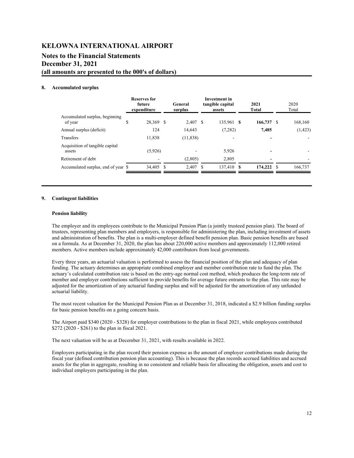# **Notes to the Financial Statements December 31, 2021**

**(all amounts are presented to the 000's of dollars)**

#### **8. Accumulated surplus**

|                                           | <b>Reserves for</b><br>future<br>expenditure |   | General<br>surplus |      | Investment in<br>tangible capital<br>assets |      | 2021<br><b>Total</b> | 2020<br>Total |          |  |
|-------------------------------------------|----------------------------------------------|---|--------------------|------|---------------------------------------------|------|----------------------|---------------|----------|--|
| Accumulated surplus, beginning<br>of year | \$<br>28,369 \$                              |   | 2,407 \$           |      | 135,961                                     | - 8  | 166,737              | - \$          | 168,160  |  |
| Annual surplus (deficit)                  | 124                                          |   | 14,643             |      | (7,282)                                     |      | 7,485                |               | (1, 423) |  |
| <b>Transfers</b>                          | 11,838                                       |   | (11, 838)          |      |                                             |      |                      |               |          |  |
| Acquisition of tangible capital<br>assets | (5,926)                                      |   |                    |      | 5,926                                       |      |                      |               |          |  |
| Retirement of debt                        |                                              |   | (2,805)            |      | 2.805                                       |      |                      |               |          |  |
| Accumulated surplus, end of year \$       | 34,405                                       | S | 2.407              | - \$ | 137,410                                     | - \$ | 174,222 \$           |               | 166,737  |  |

#### **9. Contingent liabilities**

#### **Pension liability**

The employer and its employees contribute to the Municipal Pension Plan (a jointly trusteed pension plan). The board of trustees, representing plan members and employers, is responsible for administering the plan, including investment of assets and administration of benefits. The plan is a multi-employer defined benefit pension plan. Basic pension benefits are based on a formula. As at December 31, 2020, the plan has about 220,000 active members and approximately 112,000 retired members. Active members include approximately 42,000 contributors from local governments.

Every three years, an actuarial valuation is performed to assess the financial position of the plan and adequacy of plan funding. The actuary determines an appropriate combined employer and member contribution rate to fund the plan. The actuary's calculated contribution rate is based on the entry-age normal cost method, which produces the long-term rate of member and employer contributions sufficient to provide benefits for average future entrants to the plan. This rate may be adjusted for the amortization of any actuarial funding surplus and will be adjusted for the amortization of any unfunded actuarial liability.

The most recent valuation for the Municipal Pension Plan as at December 31, 2018, indicated a \$2.9 billion funding surplus for basic pension benefits on a going concern basis.

The Airport paid \$340 (2020 - \$328) for employer contributions to the plan in fiscal 2021, while employees contributed \$272 (2020 - \$261) to the plan in fiscal 2021.

The next valuation will be as at December 31, 2021, with results available in 2022.

Employers participating in the plan record their pension expense as the amount of employer contributions made during the fiscal year (defined contribution pension plan accounting). This is because the plan records accrued liabilities and accrued assets for the plan in aggregate, resulting in no consistent and reliable basis for allocating the obligation, assets and cost to individual employers participating in the plan.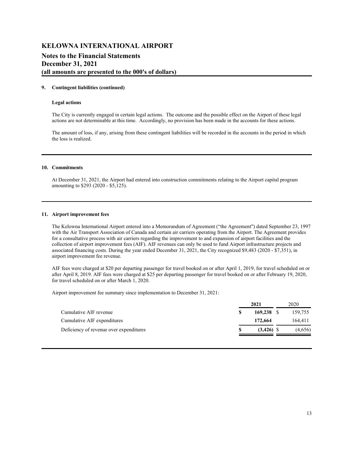## **KELOWNA INTERNATIONAL AIRPORT Notes to the Financial Statements December 31, 2021 (all amounts are presented to the 000's of dollars)**

#### **9. Contingent liabilities (continued)**

#### **Legal actions**

The City is currently engaged in certain legal actions. The outcome and the possible effect on the Airport of these legal actions are not determinable at this time. Accordingly, no provision has been made in the accounts for these actions.

The amount of loss, if any, arising from these contingent liabilities will be recorded in the accounts in the period in which the loss is realized.

#### **10. Commitments**

At December 31, 2021, the Airport had entered into construction commitments relating to the Airport capital program amounting to \$293 (2020 - \$5,125).

#### **11. Airport improvement fees**

The Kelowna International Airport entered into a Memorandum of Agreement ("the Agreement") dated September 23, 1997 with the Air Transport Association of Canada and certain air carriers operating from the Airport. The Agreement provides for a consultative process with air carriers regarding the improvement to and expansion of airport facilities and the collection of airport improvement fees (AIF). AIF revenues can only be used to fund Airport infrastructure projects and associated financing costs. During the year ended December 31, 2021, the City recognized \$9,483 (2020 - \$7,351), in airport improvement fee revenue.

AIF fees were charged at \$20 per departing passenger for travel booked on or after April 1, 2019, for travel scheduled on or after April 8, 2019. AIF fees were charged at \$25 per departing passenger for travel booked on or after February 19, 2020, for travel scheduled on or after March 1, 2020.

Airport improvement fee summary since implementation to December 31, 2021:

|                                         | 2021 |             | 2020 |         |
|-----------------------------------------|------|-------------|------|---------|
| Cumulative AIF revenue                  |      | 169,238 S   |      | 159.755 |
| Cumulative AIF expenditures             |      | 172,664     |      | 164.411 |
| Deficiency of revenue over expenditures |      | $(3.426)$ S |      | (4,656) |
|                                         |      |             |      |         |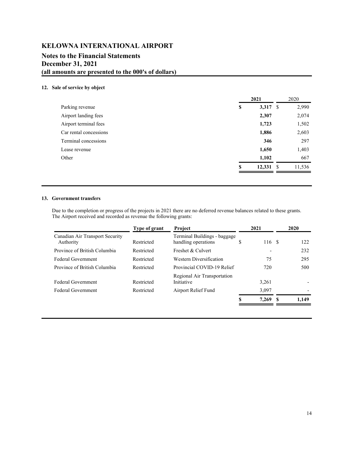### **Notes to the Financial Statements December 31, 2021 (all amounts are presented to the 000's of dollars)**

#### **12. Sale of service by object**

|                        | 2021             |      | 2020   |  |
|------------------------|------------------|------|--------|--|
| Parking revenue        | \$<br>$3,317$ \$ |      | 2,990  |  |
| Airport landing fees   | 2,307            |      | 2,074  |  |
| Airport terminal fees  | 1,723            |      | 1,502  |  |
| Car rental concessions | 1,886            |      | 2,603  |  |
| Terminal concessions   | 346              |      | 297    |  |
| Lease revenue          | 1,650            |      | 1,403  |  |
| Other                  | 1,102            |      | 667    |  |
|                        | \$<br>12,331     | - \$ | 11,536 |  |

#### **13. Government transfers**

Due to the completion or progress of the projects in 2021 there are no deferred revenue balances related to these grants. The Airport received and recorded as revenue the following grants:

|                                              | Type of grant | Project                                             |    | 2021   |    | 2020  |
|----------------------------------------------|---------------|-----------------------------------------------------|----|--------|----|-------|
| Canadian Air Transport Security<br>Authority | Restricted    | Terminal Buildings - baggage<br>handling operations | S  | 116 \$ |    | 122   |
| Province of British Columbia                 | Restricted    | Freshet & Culvert                                   |    |        |    | 232   |
| <b>Federal Government</b>                    | Restricted    | <b>Western Diversification</b>                      |    | 75     |    | 295   |
| Province of British Columbia                 | Restricted    | Provincial COVID-19 Relief                          |    | 720    |    | 500   |
| <b>Federal Government</b>                    | Restricted    | Regional Air Transportation<br>Initiative           |    | 3,261  |    |       |
| <b>Federal Government</b>                    | Restricted    | Airport Relief Fund                                 |    | 3,097  |    |       |
|                                              |               |                                                     | \$ | 7,269  | -S | 1.149 |
|                                              |               |                                                     |    |        |    |       |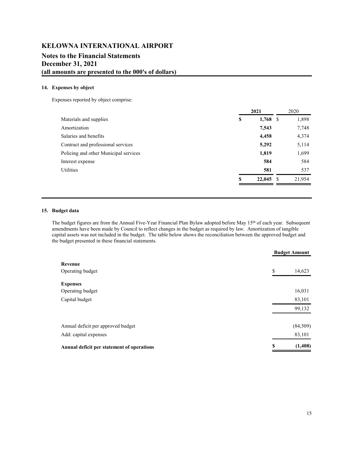### **Notes to the Financial Statements December 31, 2021 (all amounts are presented to the 000's of dollars)**

#### **14. Expenses by object**

Expenses reported by object comprise:

|                                       |    | 2021       |      | 2020   |
|---------------------------------------|----|------------|------|--------|
| Materials and supplies                | \$ | $1,768$ \$ |      | 1,898  |
| Amortization                          |    | 7,543      |      | 7,748  |
| Salaries and benefits                 |    | 4,458      |      | 4,374  |
| Contract and professional services    |    | 5,292      |      | 5,114  |
| Policing and other Municipal services |    | 1,819      |      | 1,699  |
| Interest expense                      |    | 584        |      | 584    |
| Utilities                             |    | 581        |      | 537    |
|                                       | S  | 22,045     | - \$ | 21,954 |
|                                       |    |            |      |        |

#### **15. Budget data**

The budget figures are from the Annual Five-Year Financial Plan Bylaw adopted before May 15<sup>th</sup> of each year. Subsequent amendments have been made by Council to reflect changes in the budget as required by law. Amortization of tangible capital assets was not included in the budget. The table below shows the reconciliation between the approved budget and the budget presented in these financial statements.

|                                            |    | <b>Budget Amount</b> |  |  |
|--------------------------------------------|----|----------------------|--|--|
| Revenue                                    |    |                      |  |  |
| Operating budget                           | \$ | 14,623               |  |  |
| <b>Expenses</b>                            |    |                      |  |  |
| Operating budget                           |    | 16,031               |  |  |
| Capital budget                             |    | 83,101               |  |  |
|                                            |    | 99,132               |  |  |
| Annual deficit per approved budget         |    | (84, 509)            |  |  |
| Add: capital expenses                      |    | 83,101               |  |  |
| Annual deficit per statement of operations | S  | (1, 408)             |  |  |